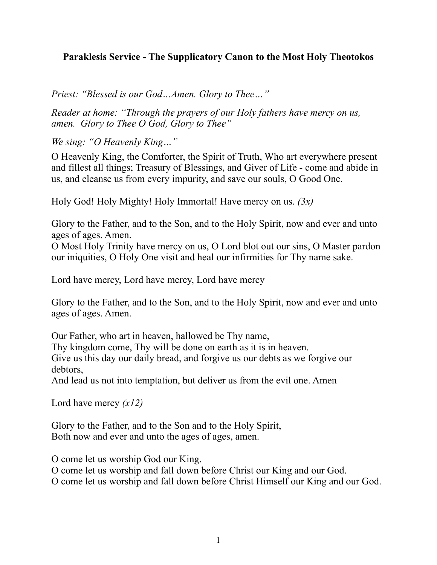# **Paraklesis Service - The Supplicatory Canon to the Most Holy Theotokos**

*Priest: "Blessed is our God…Amen. Glory to Thee…"*

*Reader at home: "Through the prayers of our Holy fathers have mercy on us, amen. Glory to Thee O God, Glory to Thee"*

*We sing: "O Heavenly King…"*

O Heavenly King, the Comforter, the Spirit of Truth, Who art everywhere present and fillest all things; Treasury of Blessings, and Giver of Life - come and abide in us, and cleanse us from every impurity, and save our souls, O Good One.

Holy God! Holy Mighty! Holy Immortal! Have mercy on us. *(3x)*

Glory to the Father, and to the Son, and to the Holy Spirit, now and ever and unto ages of ages. Amen.

O Most Holy Trinity have mercy on us, O Lord blot out our sins, O Master pardon our iniquities, O Holy One visit and heal our infirmities for Thy name sake.

Lord have mercy, Lord have mercy, Lord have mercy

Glory to the Father, and to the Son, and to the Holy Spirit, now and ever and unto ages of ages. Amen.

Our Father, who art in heaven, hallowed be Thy name, Thy kingdom come, Thy will be done on earth as it is in heaven. Give us this day our daily bread, and forgive us our debts as we forgive our debtors,

And lead us not into temptation, but deliver us from the evil one. Amen

Lord have mercy *(x12)*

Glory to the Father, and to the Son and to the Holy Spirit, Both now and ever and unto the ages of ages, amen.

O come let us worship God our King.

O come let us worship and fall down before Christ our King and our God.

O come let us worship and fall down before Christ Himself our King and our God.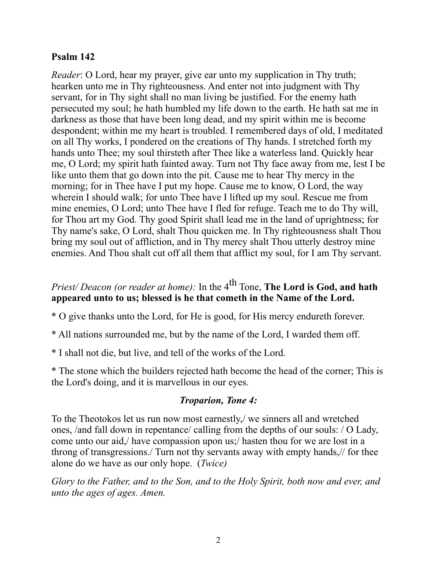#### **Psalm 142**

*Reader*: O Lord, hear my prayer, give ear unto my supplication in Thy truth; hearken unto me in Thy righteousness. And enter not into judgment with Thy servant, for in Thy sight shall no man living be justified. For the enemy hath persecuted my soul; he hath humbled my life down to the earth. He hath sat me in darkness as those that have been long dead, and my spirit within me is become despondent; within me my heart is troubled. I remembered days of old, I meditated on all Thy works, I pondered on the creations of Thy hands. I stretched forth my hands unto Thee; my soul thirsteth after Thee like a waterless land. Quickly hear me, O Lord; my spirit hath fainted away. Turn not Thy face away from me, lest I be like unto them that go down into the pit. Cause me to hear Thy mercy in the morning; for in Thee have I put my hope. Cause me to know, O Lord, the way wherein I should walk; for unto Thee have I lifted up my soul. Rescue me from mine enemies, O Lord; unto Thee have I fled for refuge. Teach me to do Thy will, for Thou art my God. Thy good Spirit shall lead me in the land of uprightness; for Thy name's sake, O Lord, shalt Thou quicken me. In Thy righteousness shalt Thou bring my soul out of affliction, and in Thy mercy shalt Thou utterly destroy mine enemies. And Thou shalt cut off all them that afflict my soul, for I am Thy servant.

# *Priest/Deacon (or reader at home):* In the 4<sup>th</sup> Tone, **The Lord is God, and hath appeared unto to us; blessed is he that cometh in the Name of the Lord.**

\* O give thanks unto the Lord, for He is good, for His mercy endureth forever.

\* All nations surrounded me, but by the name of the Lord, I warded them off.

\* I shall not die, but live, and tell of the works of the Lord.

\* The stone which the builders rejected hath become the head of the corner; This is the Lord's doing, and it is marvellous in our eyes.

# *Troparion, Tone 4:*

To the Theotokos let us run now most earnestly,/ we sinners all and wretched ones, /and fall down in repentance/ calling from the depths of our souls: / O Lady, come unto our aid,/ have compassion upon us;/ hasten thou for we are lost in a throng of transgressions./ Turn not thy servants away with empty hands,// for thee alone do we have as our only hope. (*Twice)*

*Glory to the Father, and to the Son, and to the Holy Spirit, both now and ever, and unto the ages of ages. Amen.*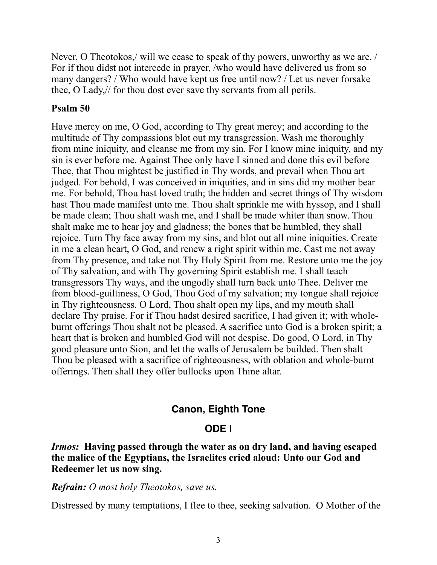Never, O Theotokos,/ will we cease to speak of thy powers, unworthy as we are. / For if thou didst not intercede in prayer, /who would have delivered us from so many dangers? / Who would have kept us free until now? / Let us never forsake thee, O Lady,// for thou dost ever save thy servants from all perils.

## **Psalm 50**

Have mercy on me, O God, according to Thy great mercy; and according to the multitude of Thy compassions blot out my transgression. Wash me thoroughly from mine iniquity, and cleanse me from my sin. For I know mine iniquity, and my sin is ever before me. Against Thee only have I sinned and done this evil before Thee, that Thou mightest be justified in Thy words, and prevail when Thou art judged. For behold, I was conceived in iniquities, and in sins did my mother bear me. For behold, Thou hast loved truth; the hidden and secret things of Thy wisdom hast Thou made manifest unto me. Thou shalt sprinkle me with hyssop, and I shall be made clean; Thou shalt wash me, and I shall be made whiter than snow. Thou shalt make me to hear joy and gladness; the bones that be humbled, they shall rejoice. Turn Thy face away from my sins, and blot out all mine iniquities. Create in me a clean heart, O God, and renew a right spirit within me. Cast me not away from Thy presence, and take not Thy Holy Spirit from me. Restore unto me the joy of Thy salvation, and with Thy governing Spirit establish me. I shall teach transgressors Thy ways, and the ungodly shall turn back unto Thee. Deliver me from blood-guiltiness, O God, Thou God of my salvation; my tongue shall rejoice in Thy righteousness. O Lord, Thou shalt open my lips, and my mouth shall declare Thy praise. For if Thou hadst desired sacrifice, I had given it; with wholeburnt offerings Thou shalt not be pleased. A sacrifice unto God is a broken spirit; a heart that is broken and humbled God will not despise. Do good, O Lord, in Thy good pleasure unto Sion, and let the walls of Jerusalem be builded. Then shalt Thou be pleased with a sacrifice of righteousness, with oblation and whole-burnt offerings. Then shall they offer bullocks upon Thine altar.

# **Canon, Eighth Tone**

# **ODE I**

*Irmos:* **Having passed through the water as on dry land, and having escaped the malice of the Egyptians, the Israelites cried aloud: Unto our God and Redeemer let us now sing.**

#### *Refrain: O most holy Theotokos, save us.*

Distressed by many temptations, I flee to thee, seeking salvation. O Mother of the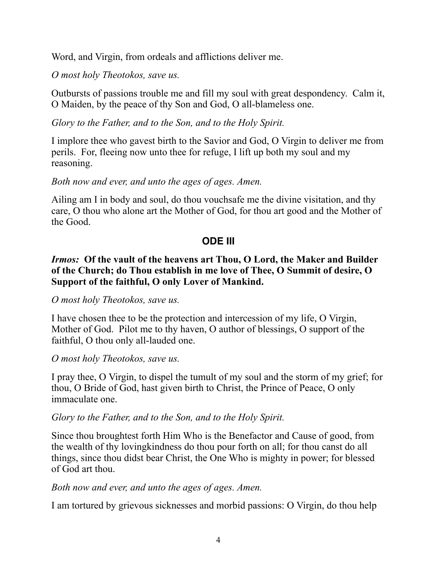Word, and Virgin, from ordeals and afflictions deliver me.

*O most holy Theotokos, save us.*

Outbursts of passions trouble me and fill my soul with great despondency. Calm it, O Maiden, by the peace of thy Son and God, O all-blameless one.

*Glory to the Father, and to the Son, and to the Holy Spirit.*

I implore thee who gavest birth to the Savior and God, O Virgin to deliver me from perils. For, fleeing now unto thee for refuge, I lift up both my soul and my reasoning.

# *Both now and ever, and unto the ages of ages. Amen.*

Ailing am I in body and soul, do thou vouchsafe me the divine visitation, and thy care, O thou who alone art the Mother of God, for thou art good and the Mother of the Good.

# **ODE III**

#### *Irmos:* **Of the vault of the heavens art Thou, O Lord, the Maker and Builder of the Church; do Thou establish in me love of Thee, O Summit of desire, O Support of the faithful, O only Lover of Mankind.**

#### *O most holy Theotokos, save us.*

I have chosen thee to be the protection and intercession of my life, O Virgin, Mother of God. Pilot me to thy haven, O author of blessings, O support of the faithful, O thou only all-lauded one.

*O most holy Theotokos, save us.*

I pray thee, O Virgin, to dispel the tumult of my soul and the storm of my grief; for thou, O Bride of God, hast given birth to Christ, the Prince of Peace, O only immaculate one.

# *Glory to the Father, and to the Son, and to the Holy Spirit.*

Since thou broughtest forth Him Who is the Benefactor and Cause of good, from the wealth of thy lovingkindness do thou pour forth on all; for thou canst do all things, since thou didst bear Christ, the One Who is mighty in power; for blessed of God art thou.

# *Both now and ever, and unto the ages of ages. Amen.*

I am tortured by grievous sicknesses and morbid passions: O Virgin, do thou help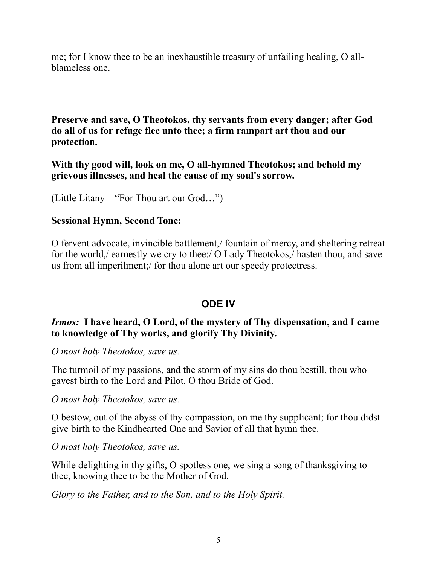me; for I know thee to be an inexhaustible treasury of unfailing healing, O allblameless one.

**Preserve and save, O Theotokos, thy servants from every danger; after God do all of us for refuge flee unto thee; a firm rampart art thou and our protection.**

**With thy good will, look on me, O all-hymned Theotokos; and behold my grievous illnesses, and heal the cause of my soul's sorrow.**

(Little Litany – "For Thou art our God…")

#### **Sessional Hymn, Second Tone:**

O fervent advocate, invincible battlement,/ fountain of mercy, and sheltering retreat for the world,/ earnestly we cry to thee:/ O Lady Theotokos,/ hasten thou, and save us from all imperilment;/ for thou alone art our speedy protectress.

# **ODE IV**

# *Irmos:* **I have heard, O Lord, of the mystery of Thy dispensation, and I came to knowledge of Thy works, and glorify Thy Divinity.**

*O most holy Theotokos, save us.*

The turmoil of my passions, and the storm of my sins do thou bestill, thou who gavest birth to the Lord and Pilot, O thou Bride of God.

*O most holy Theotokos, save us.*

O bestow, out of the abyss of thy compassion, on me thy supplicant; for thou didst give birth to the Kindhearted One and Savior of all that hymn thee.

*O most holy Theotokos, save us.*

While delighting in thy gifts, O spotless one, we sing a song of thanksgiving to thee, knowing thee to be the Mother of God.

*Glory to the Father, and to the Son, and to the Holy Spirit.*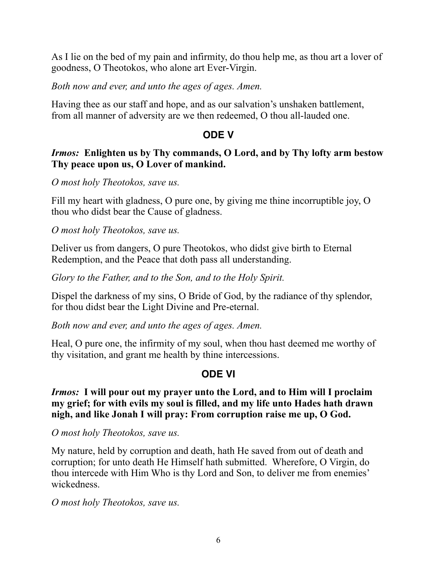As I lie on the bed of my pain and infirmity, do thou help me, as thou art a lover of goodness, O Theotokos, who alone art Ever-Virgin.

## *Both now and ever, and unto the ages of ages. Amen.*

Having thee as our staff and hope, and as our salvation's unshaken battlement, from all manner of adversity are we then redeemed, O thou all-lauded one.

# **ODE V**

#### *Irmos:* **Enlighten us by Thy commands, O Lord, and by Thy lofty arm bestow Thy peace upon us, O Lover of mankind.**

*O most holy Theotokos, save us.*

Fill my heart with gladness, O pure one, by giving me thine incorruptible joy, O thou who didst bear the Cause of gladness.

*O most holy Theotokos, save us.*

Deliver us from dangers, O pure Theotokos, who didst give birth to Eternal Redemption, and the Peace that doth pass all understanding.

*Glory to the Father, and to the Son, and to the Holy Spirit.*

Dispel the darkness of my sins, O Bride of God, by the radiance of thy splendor, for thou didst bear the Light Divine and Pre-eternal.

*Both now and ever, and unto the ages of ages. Amen.*

Heal, O pure one, the infirmity of my soul, when thou hast deemed me worthy of thy visitation, and grant me health by thine intercessions.

# **ODE VI**

*Irmos:* **I will pour out my prayer unto the Lord, and to Him will I proclaim my grief; for with evils my soul is filled, and my life unto Hades hath drawn nigh, and like Jonah I will pray: From corruption raise me up, O God.**

*O most holy Theotokos, save us.*

My nature, held by corruption and death, hath He saved from out of death and corruption; for unto death He Himself hath submitted. Wherefore, O Virgin, do thou intercede with Him Who is thy Lord and Son, to deliver me from enemies' wickedness.

*O most holy Theotokos, save us.*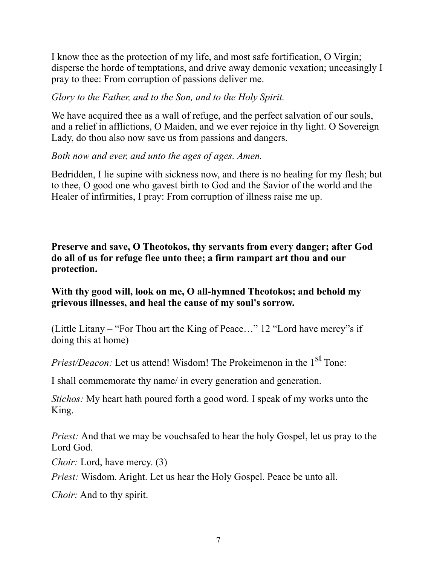I know thee as the protection of my life, and most safe fortification, O Virgin; disperse the horde of temptations, and drive away demonic vexation; unceasingly I pray to thee: From corruption of passions deliver me.

#### *Glory to the Father, and to the Son, and to the Holy Spirit.*

We have acquired thee as a wall of refuge, and the perfect salvation of our souls, and a relief in afflictions, O Maiden, and we ever rejoice in thy light. O Sovereign Lady, do thou also now save us from passions and dangers.

#### *Both now and ever, and unto the ages of ages. Amen.*

Bedridden, I lie supine with sickness now, and there is no healing for my flesh; but to thee, O good one who gavest birth to God and the Savior of the world and the Healer of infirmities, I pray: From corruption of illness raise me up.

**Preserve and save, O Theotokos, thy servants from every danger; after God do all of us for refuge flee unto thee; a firm rampart art thou and our protection.**

#### **With thy good will, look on me, O all-hymned Theotokos; and behold my grievous illnesses, and heal the cause of my soul's sorrow.**

(Little Litany – "For Thou art the King of Peace…" 12 "Lord have mercy"s if doing this at home)

*Priest/Deacon:* Let us attend! Wisdom! The Prokeimenon in the 1<sup>st</sup> Tone:

I shall commemorate thy name/ in every generation and generation.

*Stichos:* My heart hath poured forth a good word. I speak of my works unto the King.

*Priest:* And that we may be vouchsafed to hear the holy Gospel, let us pray to the Lord God.

*Choir:* Lord, have mercy. (3)

*Priest:* Wisdom. Aright. Let us hear the Holy Gospel. Peace be unto all.

*Choir:* And to thy spirit.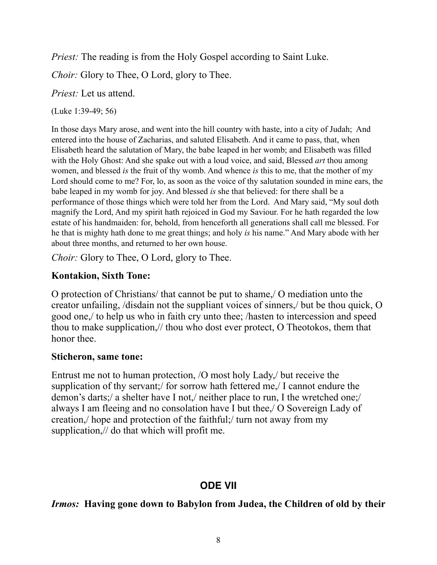*Priest:* The reading is from the Holy Gospel according to Saint Luke.

*Choir:* Glory to Thee, O Lord, glory to Thee.

*Priest:* Let us attend.

(Luke 1:39-49; 56)

In those days Mary arose, and went into the hill country with haste, into a city of Judah; And entered into the house of Zacharias, and saluted Elisabeth. And it came to pass, that, when Elisabeth heard the salutation of Mary, the babe leaped in her womb; and Elisabeth was filled with the Holy Ghost: And she spake out with a loud voice, and said, Blessed *art* thou among women, and blessed *is* the fruit of thy womb. And whence *is* this to me, that the mother of my Lord should come to me? For, lo, as soon as the voice of thy salutation sounded in mine ears, the babe leaped in my womb for joy. And blessed *is* she that believed: for there shall be a performance of those things which were told her from the Lord. And Mary said, "My soul doth magnify the Lord, And my spirit hath rejoiced in God my Saviour. For he hath regarded the low estate of his handmaiden: for, behold, from henceforth all generations shall call me blessed. For he that is mighty hath done to me great things; and holy *is* his name." And Mary abode with her about three months, and returned to her own house.

*Choir:* Glory to Thee, O Lord, glory to Thee.

# **Kontakion, Sixth Tone:**

O protection of Christians/ that cannot be put to shame,/ O mediation unto the creator unfailing, /disdain not the suppliant voices of sinners,/ but be thou quick, O good one,/ to help us who in faith cry unto thee; /hasten to intercession and speed thou to make supplication,// thou who dost ever protect, O Theotokos, them that honor thee.

# **Sticheron, same tone:**

Entrust me not to human protection, /O most holy Lady,/ but receive the supplication of thy servant;/ for sorrow hath fettered me,/ I cannot endure the demon's darts;/ a shelter have I not,/ neither place to run, I the wretched one;/ always I am fleeing and no consolation have I but thee,/ O Sovereign Lady of creation,/ hope and protection of the faithful;/ turn not away from my supplication,// do that which will profit me.

# **ODE VII**

# *Irmos:* **Having gone down to Babylon from Judea, the Children of old by their**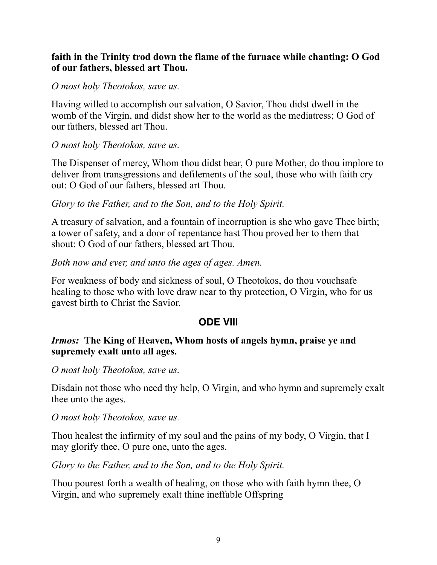## **faith in the Trinity trod down the flame of the furnace while chanting: O God of our fathers, blessed art Thou.**

#### *O most holy Theotokos, save us.*

Having willed to accomplish our salvation, O Savior, Thou didst dwell in the womb of the Virgin, and didst show her to the world as the mediatress; O God of our fathers, blessed art Thou.

#### *O most holy Theotokos, save us.*

The Dispenser of mercy, Whom thou didst bear, O pure Mother, do thou implore to deliver from transgressions and defilements of the soul, those who with faith cry out: O God of our fathers, blessed art Thou.

#### *Glory to the Father, and to the Son, and to the Holy Spirit.*

A treasury of salvation, and a fountain of incorruption is she who gave Thee birth; a tower of safety, and a door of repentance hast Thou proved her to them that shout: O God of our fathers, blessed art Thou.

#### *Both now and ever, and unto the ages of ages. Amen.*

For weakness of body and sickness of soul, O Theotokos, do thou vouchsafe healing to those who with love draw near to thy protection, O Virgin, who for us gavest birth to Christ the Savior.

# **ODE VIII**

#### *Irmos:* **The King of Heaven, Whom hosts of angels hymn, praise ye and supremely exalt unto all ages.**

*O most holy Theotokos, save us.*

Disdain not those who need thy help, O Virgin, and who hymn and supremely exalt thee unto the ages.

*O most holy Theotokos, save us.*

Thou healest the infirmity of my soul and the pains of my body, O Virgin, that I may glorify thee, O pure one, unto the ages.

*Glory to the Father, and to the Son, and to the Holy Spirit.*

Thou pourest forth a wealth of healing, on those who with faith hymn thee, O Virgin, and who supremely exalt thine ineffable Offspring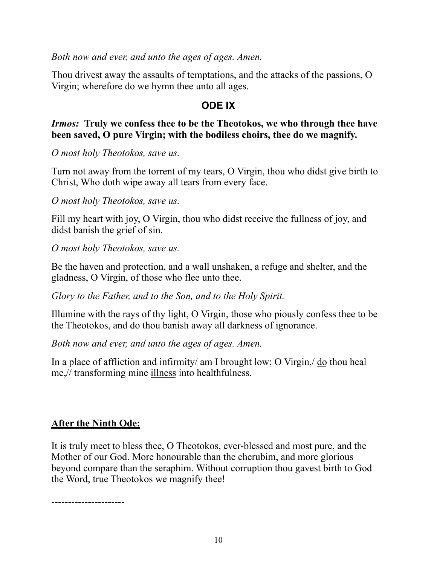*Both now and ever, and unto the ages of ages. Amen.*

Thou drivest away the assaults of temptations, and the attacks of the passions, O Virgin; wherefore do we hymn thee unto all ages.

# **ODE IX**

#### *Irmos:* **Truly we confess thee to be the Theotokos, we who through thee have been saved, O pure Virgin; with the bodiless choirs, thee do we magnify.**

*O most holy Theotokos, save us.*

Turn not away from the torrent of my tears, O Virgin, thou who didst give birth to Christ, Who doth wipe away all tears from every face.

*O most holy Theotokos, save us.*

Fill my heart with joy, O Virgin, thou who didst receive the fullness of joy, and didst banish the grief of sin.

*O most holy Theotokos, save us.*

Be the haven and protection, and a wall unshaken, a refuge and shelter, and the gladness, O Virgin, of those who flee unto thee.

*Glory to the Father, and to the Son, and to the Holy Spirit.*

Illumine with the rays of thy light, O Virgin, those who piously confess thee to be the Theotokos, and do thou banish away all darkness of ignorance.

*Both now and ever, and unto the ages of ages. Amen.*

In a place of affliction and infirmity/ am I brought low; O Virgin, do thou heal me,// transforming mine illness into healthfulness.

# **After the Ninth Ode:**

It is truly meet to bless thee, O Theotokos, ever-blessed and most pure, and the Mother of our God. More honourable than the cherubim, and more glorious beyond compare than the seraphim. Without corruption thou gavest birth to God the Word, true Theotokos we magnify thee!

----------------------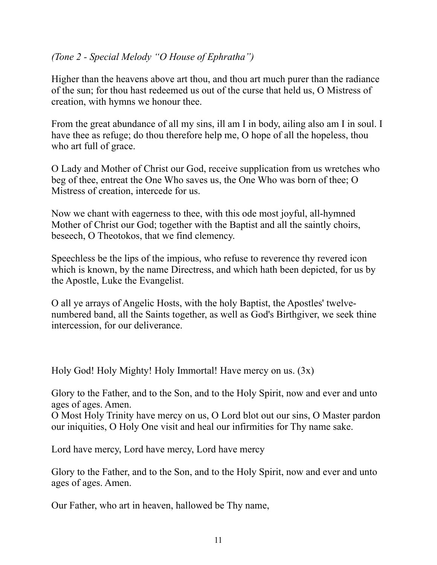# *(Tone 2 - Special Melody "O House of Ephratha")*

Higher than the heavens above art thou, and thou art much purer than the radiance of the sun; for thou hast redeemed us out of the curse that held us, O Mistress of creation, with hymns we honour thee.

From the great abundance of all my sins, ill am I in body, ailing also am I in soul. I have thee as refuge; do thou therefore help me, O hope of all the hopeless, thou who art full of grace.

O Lady and Mother of Christ our God, receive supplication from us wretches who beg of thee, entreat the One Who saves us, the One Who was born of thee; O Mistress of creation, intercede for us.

Now we chant with eagerness to thee, with this ode most joyful, all-hymned Mother of Christ our God; together with the Baptist and all the saintly choirs, beseech, O Theotokos, that we find clemency.

Speechless be the lips of the impious, who refuse to reverence thy revered icon which is known, by the name Directress, and which hath been depicted, for us by the Apostle, Luke the Evangelist.

O all ye arrays of Angelic Hosts, with the holy Baptist, the Apostles' twelvenumbered band, all the Saints together, as well as God's Birthgiver, we seek thine intercession, for our deliverance.

Holy God! Holy Mighty! Holy Immortal! Have mercy on us. (3x)

Glory to the Father, and to the Son, and to the Holy Spirit, now and ever and unto ages of ages. Amen.

O Most Holy Trinity have mercy on us, O Lord blot out our sins, O Master pardon our iniquities, O Holy One visit and heal our infirmities for Thy name sake.

Lord have mercy, Lord have mercy, Lord have mercy

Glory to the Father, and to the Son, and to the Holy Spirit, now and ever and unto ages of ages. Amen.

Our Father, who art in heaven, hallowed be Thy name,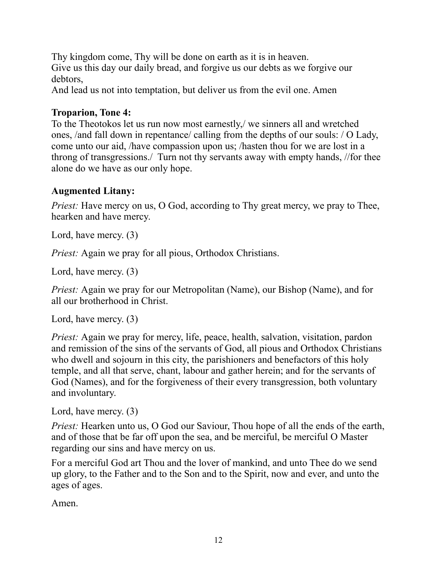Thy kingdom come, Thy will be done on earth as it is in heaven. Give us this day our daily bread, and forgive us our debts as we forgive our debtors,

And lead us not into temptation, but deliver us from the evil one. Amen

# **Troparion, Tone 4:**

To the Theotokos let us run now most earnestly,/ we sinners all and wretched ones, /and fall down in repentance/ calling from the depths of our souls: / O Lady, come unto our aid, /have compassion upon us; /hasten thou for we are lost in a throng of transgressions./ Turn not thy servants away with empty hands, //for thee alone do we have as our only hope.

# **Augmented Litany:**

*Priest:* Have mercy on us, O God, according to Thy great mercy, we pray to Thee, hearken and have mercy.

Lord, have mercy. (3)

*Priest:* Again we pray for all pious, Orthodox Christians.

Lord, have mercy. (3)

*Priest:* Again we pray for our Metropolitan (Name), our Bishop (Name), and for all our brotherhood in Christ.

Lord, have mercy. (3)

*Priest:* Again we pray for mercy, life, peace, health, salvation, visitation, pardon and remission of the sins of the servants of God, all pious and Orthodox Christians who dwell and sojourn in this city, the parishioners and benefactors of this holy temple, and all that serve, chant, labour and gather herein; and for the servants of God (Names), and for the forgiveness of their every transgression, both voluntary and involuntary.

```
Lord, have mercy. (3)
```
*Priest:* Hearken unto us, O God our Saviour, Thou hope of all the ends of the earth, and of those that be far off upon the sea, and be merciful, be merciful O Master regarding our sins and have mercy on us.

For a merciful God art Thou and the lover of mankind, and unto Thee do we send up glory, to the Father and to the Son and to the Spirit, now and ever, and unto the ages of ages.

Amen.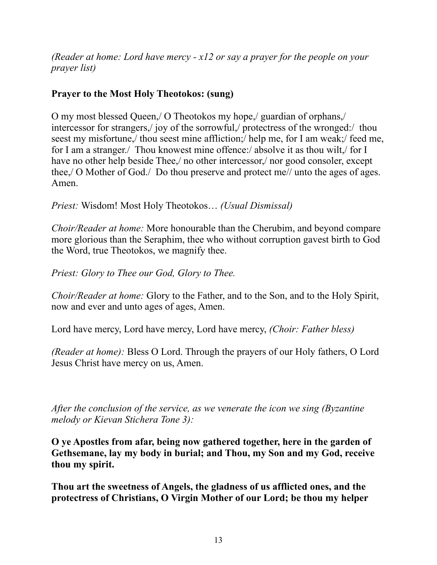*(Reader at home: Lord have mercy - x12 or say a prayer for the people on your prayer list)*

# **Prayer to the Most Holy Theotokos: (sung)**

O my most blessed Queen,/ O Theotokos my hope,/ guardian of orphans,/ intercessor for strangers,/ joy of the sorrowful,/ protectress of the wronged:/ thou seest my misfortune,/ thou seest mine affliction;/ help me, for I am weak;/ feed me, for I am a stranger./ Thou knowest mine offence:/ absolve it as thou wilt./ for I have no other help beside Thee, no other intercessor, nor good consoler, except thee,/ O Mother of God./ Do thou preserve and protect me// unto the ages of ages. Amen.

*Priest:* Wisdom! Most Holy Theotokos… *(Usual Dismissal)*

*Choir/Reader at home:* More honourable than the Cherubim, and beyond compare more glorious than the Seraphim, thee who without corruption gavest birth to God the Word, true Theotokos, we magnify thee.

*Priest: Glory to Thee our God, Glory to Thee.*

*Choir/Reader at home:* Glory to the Father, and to the Son, and to the Holy Spirit, now and ever and unto ages of ages, Amen.

Lord have mercy, Lord have mercy, Lord have mercy, *(Choir: Father bless)*

*(Reader at home):* Bless O Lord. Through the prayers of our Holy fathers, O Lord Jesus Christ have mercy on us, Amen.

*After the conclusion of the service, as we venerate the icon we sing (Byzantine melody or Kievan Stichera Tone 3):*

**O ye Apostles from afar, being now gathered together, here in the garden of Gethsemane, lay my body in burial; and Thou, my Son and my God, receive thou my spirit.**

**Thou art the sweetness of Angels, the gladness of us afflicted ones, and the protectress of Christians, O Virgin Mother of our Lord; be thou my helper**